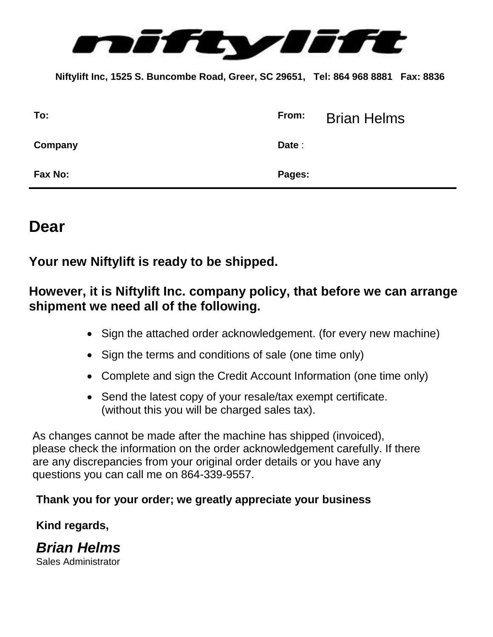

 **Niftylift Inc, 1525 S. Buncombe Road, Greer, SC 29651, Tel: 864 968 8881 Fax: 8836**

| To:            | From:  | <b>Brian Helms</b> |
|----------------|--------|--------------------|
| Company        | Date : |                    |
| <b>Fax No:</b> | Pages: |                    |

# **Dear**

**Your new Niftylift is ready to be shipped.**

## **However, it is Niftylift Inc. company policy, that before we can arrange shipment we need all of the following.**

- Sign the attached order acknowledgement. (for every new machine)
- Sign the terms and conditions of sale (one time only)
- Complete and sign the Credit Account Information (one time only)
- Send the latest copy of your resale/tax exempt certificate. (without this you will be charged sales tax).

As changes cannot be made after the machine has shipped (invoiced), please check the information on the order acknowledgement carefully. If there are any discrepancies from your original order details or you have any questions you can call me on 864-339-9557.

## **Thank you for your order; we greatly appreciate your business**

## **Kind regards,**

*Brian Helms* Sales Administrator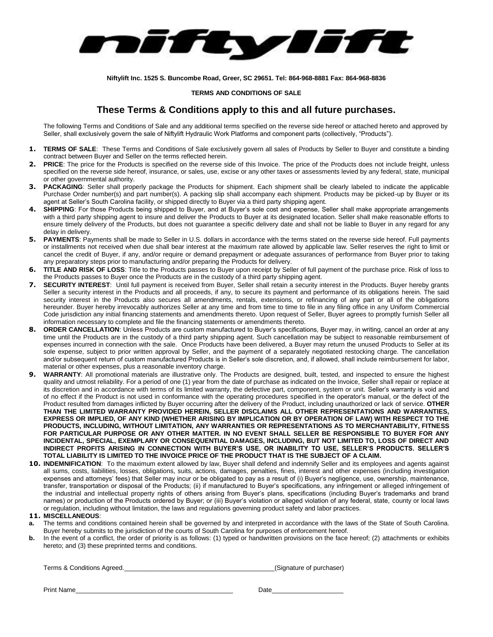

**Niftylift Inc. 1525 S. Buncombe Road, Greer, SC 29651. Tel: 864-968-8881 Fax: 864-968-8836**

#### **TERMS AND CONDITIONS OF SALE**

### **These Terms & Conditions apply to this and all future purchases.**

The following Terms and Conditions of Sale and any additional terms specified on the reverse side hereof or attached hereto and approved by Seller, shall exclusively govern the sale of Niftylift Hydraulic Work Platforms and component parts (collectively, "Products").

- **1. TERMS OF SALE**: These Terms and Conditions of Sale exclusively govern all sales of Products by Seller to Buyer and constitute a binding contract between Buyer and Seller on the terms reflected herein.
- **2. PRICE**: The price for the Products is specified on the reverse side of this Invoice. The price of the Products does not include freight, unless specified on the reverse side hereof, insurance, or sales, use, excise or any other taxes or assessments levied by any federal, state, municipal or other governmental authority.
- **3. PACKAGING**: Seller shall properly package the Products for shipment. Each shipment shall be clearly labeled to indicate the applicable Purchase Order number(s) and part number(s). A packing slip shall accompany each shipment. Products may be picked-up by Buyer or its agent at Seller's South Carolina facility, or shipped directly to Buyer via a third party shipping agent.
- **SHIPPING**: For those Products being shipped to Buyer, and at Buyer's sole cost and expense, Seller shall make appropriate arrangements with a third party shipping agent to insure and deliver the Products to Buyer at its designated location. Seller shall make reasonable efforts to ensure timely delivery of the Products, but does not guarantee a specific delivery date and shall not be liable to Buyer in any regard for any delay in delivery.
- **5. PAYMENTS**: Payments shall be made to Seller in U.S. dollars in accordance with the terms stated on the reverse side hereof. Full payments or installments not received when due shall bear interest at the maximum rate allowed by applicable law. Seller reserves the right to limit or cancel the credit of Buyer, if any, and/or require or demand prepayment or adequate assurances of performance from Buyer prior to taking any preparatory steps prior to manufacturing and/or preparing the Products for delivery.
- **6. TITLE AND RISK OF LOSS**: Title to the Products passes to Buyer upon receipt by Seller of full payment of the purchase price. Risk of loss to the Products passes to Buyer once the Products are in the custody of a third party shipping agent.
- **7. SECURITY INTEREST**: Until full payment is received from Buyer, Seller shall retain a security interest in the Products. Buyer hereby grants Seller a security interest in the Products and all proceeds, if any, to secure its payment and performance of its obligations herein. The said security interest in the Products also secures all amendments, rentals, extensions, or refinancing of any part or all of the obligations hereunder. Buyer hereby irrevocably authorizes Seller at any time and from time to time to file in any filing office in any Uniform Commercial Code jurisdiction any initial financing statements and amendments thereto. Upon request of Seller, Buyer agrees to promptly furnish Seller all information necessary to complete and file the financing statements or amendments thereto.
- **8. ORDER CANCELLATION**: Unless Products are custom manufactured to Buyer's specifications, Buyer may, in writing, cancel an order at any time until the Products are in the custody of a third party shipping agent. Such cancellation may be subject to reasonable reimbursement of expenses incurred in connection with the sale. Once Products have been delivered, a Buyer may return the unused Products to Seller at its sole expense, subject to prior written approval by Seller, and the payment of a separately negotiated restocking charge. The cancellation and/or subsequent return of custom manufactured Products is in Seller's sole discretion, and, if allowed, shall include reimbursement for labor, material or other expenses, plus a reasonable inventory charge.
- **9. WARRANTY**: All promotional materials are illustrative only. The Products are designed, built, tested, and inspected to ensure the highest quality and utmost reliability. For a period of one (1) year from the date of purchase as indicated on the Invoice, Seller shall repair or replace at its discretion and in accordance with terms of its limited warranty, the defective part, component, system or unit. Seller's warranty is void and of no effect if the Product is not used in conformance with the operating procedures specified in the operator's manual, or the defect of the Product resulted from damages inflicted by Buyer occurring after the delivery of the Product, including unauthorized or lack of service. **OTHER THAN THE LIMITED WARRANTY PROVIDED HEREIN, SELLER DISCLAIMS ALL OTHER REPRESENTATIONS AND WARRANTIES, EXPRESS OR IMPLIED, OF ANY KIND (WHETHER ARISING BY IMPLICATION OR BY OPERATION OF LAW) WITH RESPECT TO THE PRODUCTS, INCLUDING, WITHOUT LIMITATION, ANY WARRANTIES OR REPRESENTATIONS AS TO MERCHANTABILITY, FITNESS FOR PARTICULAR PURPOSE OR ANY OTHER MATTER. IN NO EVENT SHALL SELLER BE RESPONSIBLE TO BUYER FOR ANY INCIDENTAL, SPECIAL, EXEMPLARY OR CONSEQUENTIAL DAMAGES, INCLUDING, BUT NOT LIMITED TO, LOSS OF DIRECT AND INDIRECT PROFITS ARISING IN CONNECTION WITH BUYER'S USE, OR INABILITY TO USE, SELLER'S PRODUCTS. SELLER'S TOTAL LIABILITY IS LIMITED TO THE INVOICE PRICE OF THE PRODUCT THAT IS THE SUBJECT OF A CLAIM.**
- **10. INDEMNIFICATION**:To the maximum extent allowed by law, Buyer shall defend and indemnify Seller and its employees and agents against all sums, costs, liabilities, losses, obligations, suits, actions, damages, penalties, fines, interest and other expenses (including investigation expenses and attorneys' fees) that Seller may incur or be obligated to pay as a result of (i) Buyer's negligence, use, ownership, maintenance, transfer, transportation or disposal of the Products; (ii) if manufactured to Buyer's specifications, any infringement or alleged infringement of the industrial and intellectual property rights of others arising from Buyer's plans, specifications (including Buyer's trademarks and brand names) or production of the Products ordered by Buyer; or (iii) Buyer's violation or alleged violation of any federal, state, county or local laws or regulation, including without limitation, the laws and regulations governing product safety and labor practices.

#### **11. MISCELLANEOUS**:

- **a.** The terms and conditions contained herein shall be governed by and interpreted in accordance with the laws of the State of South Carolina. Buyer hereby submits to the jurisdiction of the courts of South Carolina for purposes of enforcement hereof.
- **b.** In the event of a conflict, the order of priority is as follows: (1) typed or handwritten provisions on the face hereof; (2) attachments or exhibits hereto; and (3) these preprinted terms and conditions.

| Terms & Conditions Agreed. | (Signature of purchaser) |
|----------------------------|--------------------------|
|                            |                          |

Print Name\_\_\_\_\_\_\_\_\_\_\_\_\_\_\_\_\_\_\_\_\_\_\_\_\_\_\_\_\_\_\_\_\_\_\_\_\_\_\_\_\_\_\_\_ Date\_\_\_\_\_\_\_\_\_\_\_\_\_\_\_\_\_\_\_\_